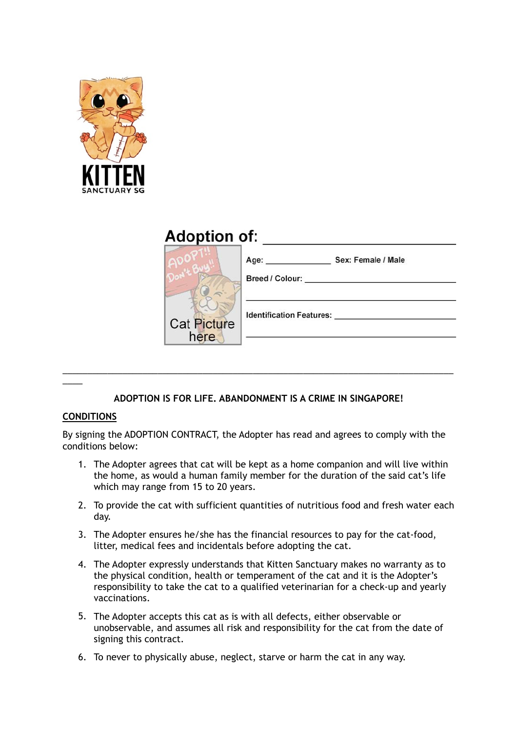

## **Adoption of:**

|                            | Sex: Female / Male<br>Age:<br>Breed / Colour: |
|----------------------------|-----------------------------------------------|
| <b>Cat Picture</b><br>here | <b>Identification Features:</b>               |

## **ADOPTION IS FOR LIFE. ABANDONMENT IS A CRIME IN SINGAPORE!**

\_\_\_\_\_\_\_\_\_\_\_\_\_\_\_\_\_\_\_\_\_\_\_\_\_\_\_\_\_\_\_\_\_\_\_\_\_\_\_\_\_\_\_\_\_\_\_\_\_\_\_\_\_\_\_\_\_\_\_\_\_\_\_\_\_\_\_\_\_\_\_\_\_\_\_\_\_\_

## **CONDITIONS**

 $\overline{\phantom{a}}$ 

By signing the ADOPTION CONTRACT, the Adopter has read and agrees to comply with the conditions below:

- 1. The Adopter agrees that cat will be kept as a home companion and will live within the home, as would a human family member for the duration of the said cat's life which may range from 15 to 20 years.
- 2. To provide the cat with sufficient quantities of nutritious food and fresh water each day.
- 3. The Adopter ensures he/she has the financial resources to pay for the cat-food, litter, medical fees and incidentals before adopting the cat.
- 4. The Adopter expressly understands that Kitten Sanctuary makes no warranty as to the physical condition, health or temperament of the cat and it is the Adopter's responsibility to take the cat to a qualified veterinarian for a check-up and yearly vaccinations.
- 5. The Adopter accepts this cat as is with all defects, either observable or unobservable, and assumes all risk and responsibility for the cat from the date of signing this contract.
- 6. To never to physically abuse, neglect, starve or harm the cat in any way.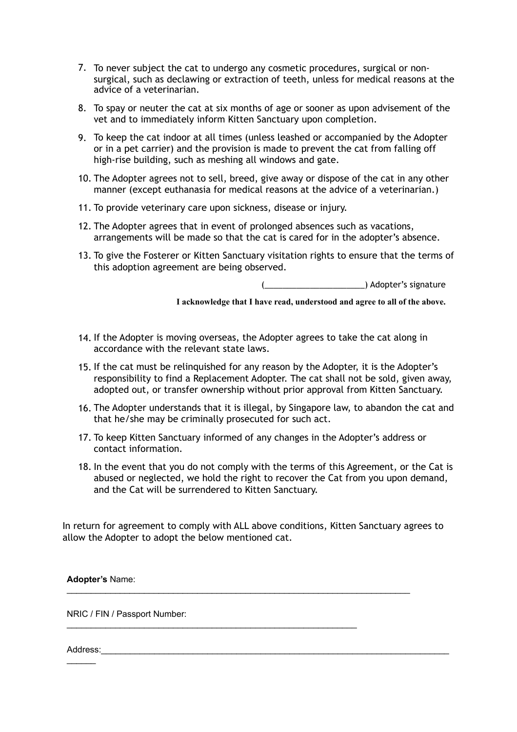- 7. To never subject the cat to undergo any cosmetic procedures, surgical or nonsurgical, such as declawing or extraction of teeth, unless for medical reasons at the advice of a veterinarian.
- 8. To spay or neuter the cat at six months of age or sooner as upon advisement of the vet and to immediately inform Kitten Sanctuary upon completion.
- 9. To keep the cat indoor at all times (unless leashed or accompanied by the Adopter or in a pet carrier) and the provision is made to prevent the cat from falling off high-rise building, such as meshing all windows and gate.
- 10. The Adopter agrees not to sell, breed, give away or dispose of the cat in any other manner (except euthanasia for medical reasons at the advice of a veterinarian.)
- 11. To provide veterinary care upon sickness, disease or injury.
- 12. The Adopter agrees that in event of prolonged absences such as vacations, arrangements will be made so that the cat is cared for in the adopter's absence.
- 13. To give the Fosterer or Kitten Sanctuary visitation rights to ensure that the terms of this adoption agreement are being observed.

(2011) Adopter's signature

**I acknowledge that I have read, understood and agree to all of the above.**

- 14. If the Adopter is moving overseas, the Adopter agrees to take the cat along in accordance with the relevant state laws.
- 15. If the cat must be relinquished for any reason by the Adopter, it is the Adopter's responsibility to find a Replacement Adopter. The cat shall not be sold, given away, adopted out, or transfer ownership without prior approval from Kitten Sanctuary.
- 16. The Adopter understands that it is illegal, by Singapore law, to abandon the cat and that he/she may be criminally prosecuted for such act.
- 17. To keep Kitten Sanctuary informed of any changes in the Adopter's address or contact information.
- 18. In the event that you do not comply with the terms of this Agreement, or the Cat is abused or neglected, we hold the right to recover the Cat from you upon demand, and the Cat will be surrendered to Kitten Sanctuary.

In return for agreement to comply with ALL above conditions, Kitten Sanctuary agrees to allow the Adopter to adopt the below mentioned cat.

\_\_\_\_\_\_\_\_\_\_\_\_\_\_\_\_\_\_\_\_\_\_\_\_\_\_\_\_\_\_\_\_\_\_\_\_\_\_\_\_\_\_\_\_\_\_\_\_\_\_\_\_\_\_\_\_\_\_\_\_

**Adopter's** Name:  $\mathcal{L}_\text{max}$  , and the set of the set of the set of the set of the set of the set of the set of the set of the set of the set of the set of the set of the set of the set of the set of the set of the set of the set of the

NRIC / FIN / Passport Number:

Address:\_\_\_\_\_\_\_\_\_\_\_\_\_\_\_\_\_\_\_\_\_\_\_\_\_\_\_\_\_\_\_\_\_\_\_\_\_\_\_\_\_\_\_\_\_\_\_\_\_\_\_\_\_\_\_\_\_\_\_\_\_\_\_\_\_\_\_\_\_\_\_\_  $\mathcal{L}=\mathcal{L}$